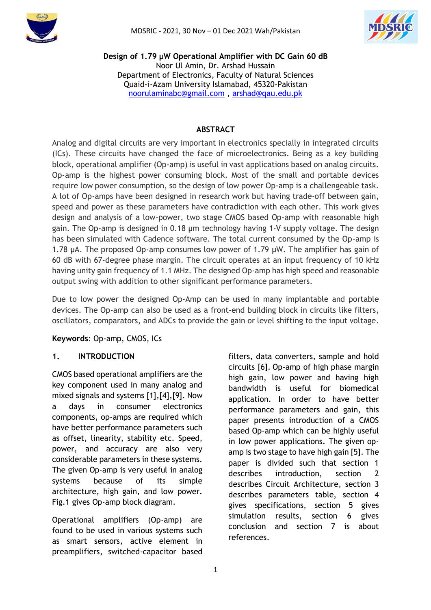



**Design of 1.79 µW Operational Amplifier with DC Gain 60 dB** Noor Ul Amin, Dr. Arshad Hussain Department of Electronics, Faculty of Natural Sciences Quaid-i-Azam University Islamabad, 45320-Pakistan [noorulaminabc@gmail.com](mailto:noorulaminabc@gmail.com) , [arshad@qau.edu.pk](mailto:arshad@qau.edu.pk)

### **ABSTRACT**

Analog and digital circuits are very important in electronics specially in integrated circuits (ICs). These circuits have changed the face of microelectronics. Being as a key building block, operational amplifier (Op-amp) is useful in vast applications based on analog circuits. Op-amp is the highest power consuming block. Most of the small and portable devices require low power consumption, so the design of low power Op-amp is a challengeable task. A lot of Op-amps have been designed in research work but having trade-off between gain, speed and power as these parameters have contradiction with each other. This work gives design and analysis of a low-power, two stage CMOS based Op-amp with reasonable high gain. The Op-amp is designed in 0.18 µm technology having 1-V supply voltage. The design has been simulated with Cadence software. The total current consumed by the Op-amp is 1.78 µA. The proposed Op-amp consumes low power of 1.79 µW. The amplifier has gain of 60 dB with 67-degree phase margin. The circuit operates at an input frequency of 10 kHz having unity gain frequency of 1.1 MHz. The designed Op-amp has high speed and reasonable output swing with addition to other significant performance parameters.

Due to low power the designed Op-Amp can be used in many implantable and portable devices. The Op-amp can also be used as a front-end building block in circuits like filters, oscillators, comparators, and ADCs to provide the gain or level shifting to the input voltage.

**Keywords**: Op-amp, CMOS, ICs

#### **1. INTRODUCTION**

CMOS based operational amplifiers are the key component used in many analog and mixed signals and systems [1],[4],[9]. Now a days in consumer electronics components, op-amps are required which have better performance parameters such as offset, linearity, stability etc. Speed, power, and accuracy are also very considerable parameters in these systems. The given Op-amp is very useful in analog systems because of its simple architecture, high gain, and low power. Fig.1 gives Op-amp block diagram.

Operational amplifiers (Op-amp) are found to be used in various systems such as smart sensors, active element in preamplifiers, switched-capacitor based

filters, data converters, sample and hold circuits [6]. Op-amp of high phase margin high gain, low power and having high bandwidth is useful for biomedical application. In order to have better performance parameters and gain, this paper presents introduction of a CMOS based Op-amp which can be highly useful in low power applications. The given opamp is two stage to have high gain [5]. The paper is divided such that section 1 describes introduction, section 2 describes Circuit Architecture, section 3 describes parameters table, section 4 gives specifications, section 5 gives simulation results, section 6 gives conclusion and section 7 is about references.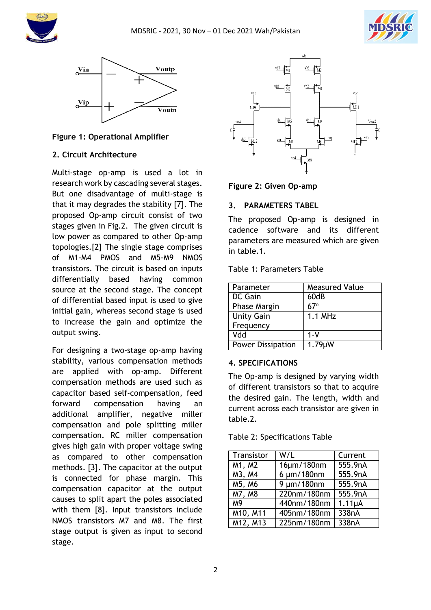





### **Figure 1: Operational Amplifier**

### **2. Circuit Architecture**

Multi-stage op-amp is used a lot in research work by cascading several stages. But one disadvantage of multi-stage is that it may degrades the stability [7]. The proposed Op-amp circuit consist of two stages given in Fig.2. The given circuit is low power as compared to other Op-amp topologies.[2] The single stage comprises of M1-M4 PMOS and M5-M9 NMOS transistors. The circuit is based on inputs differentially based having common source at the second stage. The concept of differential based input is used to give initial gain, whereas second stage is used to increase the gain and optimize the output swing.

For designing a two-stage op-amp having stability, various compensation methods are applied with op-amp. Different compensation methods are used such as capacitor based self-compensation, feed forward compensation having an additional amplifier, negative miller compensation and pole splitting miller compensation. RC miller compensation gives high gain with proper voltage swing as compared to other compensation methods. [3]. The capacitor at the output is connected for phase margin. This compensation capacitor at the output causes to split apart the poles associated with them [8]. Input transistors include NMOS transistors M7 and M8. The first stage output is given as input to second stage.



**Figure 2: Given Op-amp**

#### **3. PARAMETERS TABEL**

The proposed Op-amp is designed in cadence software and its different parameters are measured which are given in table.1.

Table 1: Parameters Table

| Parameter                | <b>Measured Value</b> |
|--------------------------|-----------------------|
| DC Gain                  | 60dB                  |
| Phase Margin             | $67^\circ$            |
| <b>Unity Gain</b>        | $1.1$ MHz             |
| Frequency                |                       |
| Vdd                      | 1-V                   |
| <b>Power Dissipation</b> | 1.79µW                |

#### **4. SPECIFICATIONS**

The Op-amp is designed by varying width of different transistors so that to acquire the desired gain. The length, width and current across each transistor are given in table.2.

Table 2: Specifications Table

| Transistor             | W/L              | Current            |
|------------------------|------------------|--------------------|
| M1, M2                 | 16µm/180nm       | 555.9nA            |
| M3, M4                 | $6 \mu m/180$ nm | 555.9nA            |
| M5, M6                 | $9 \mu m/180$ nm | 555.9nA            |
| M7, M8                 | 220nm/180nm      | 555.9nA            |
| M <sub>9</sub>         | 440nm/180nm      | $1.11\mu A$        |
| $\overline{M}$ 10, M11 | 405nm/180nm      | 338nA              |
| M12, M13               | 225nm/180nm      | 338 <sub>n</sub> A |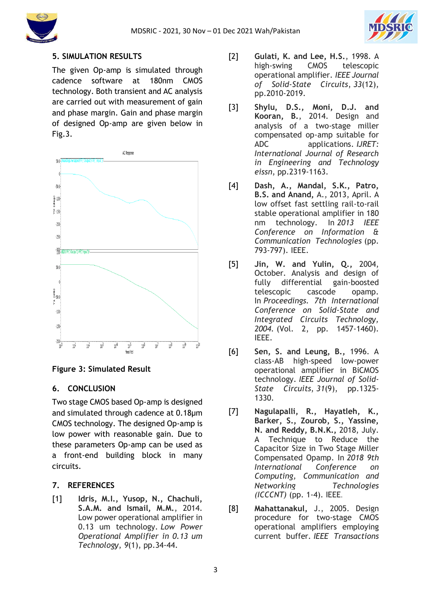



# **5. SIMULATION RESULTS**

The given Op-amp is simulated through cadence software at 180nm CMOS technology. Both transient and AC analysis are carried out with measurement of gain and phase margin. Gain and phase margin of designed Op-amp are given below in Fig.3.



# **Figure 3: Simulated Result**

#### **6. CONCLUSION**

Two stage CMOS based Op-amp is designed and simulated through cadence at 0.18µm CMOS technology. The designed Op-amp is low power with reasonable gain. Due to these parameters Op-amp can be used as a front-end building block in many circuits.

# **7. REFERENCES**

[1] **Idris, M.I., Yusop, N., Chachuli, S.A.M. and Ismail, M.M.**, 2014. Low power operational amplifier in 0.13 um technology. *Low Power Operational Amplifier in 0.13 um Technology*, *9*(1), pp.34-44.

- [2] **Gulati, K. and Lee, H.S.**, 1998. A high-swing CMOS telescopic operational amplifier. *IEEE Journal of Solid-State Circuits*, *33*(12), pp.2010-2019.
- [3] **Shylu, D.S., Moni, D.J. and Kooran, B.**, 2014. Design and analysis of a two-stage miller compensated op-amp suitable for ADC applications. *IJRET: International Journal of Research in Engineering and Technology eissn*, pp.2319-1163.
- [4] **Dash, A., Mandal, S.K., Patro, B.S. and Anand,** A., 2013, April. A low offset fast settling rail-to-rail stable operational amplifier in 180 nm technology. In *2013 IEEE Conference on Information & Communication Technologies* (pp. 793-797). IEEE.
- [5] **Jin, W. and Yulin, Q.,** 2004, October. Analysis and design of fully differential gain-boosted telescopic cascode opamp. In *Proceedings. 7th International Conference on Solid-State and Integrated Circuits Technology, 2004.* (Vol. 2, pp. 1457-1460). IEEE.
- [6] **Sen, S. and Leung, B.,** 1996. A class-AB high-speed low-power operational amplifier in BiCMOS technology. *IEEE Journal of Solid-State Circuits*, *31*(9), pp.1325- 1330.
- [7] **Nagulapalli, R., Hayatleh, K., Barker, S., Zourob, S., Yassine, N. and Reddy, B.N.K.,** 2018, July. A Technique to Reduce the Capacitor Size in Two Stage Miller Compensated Opamp. In *2018 9th International Conference on Computing, Communication and Networking Technologies (ICCCNT)* (pp. 1-4). IEEE.
- [8] **Mahattanakul,** J., 2005. Design procedure for two-stage CMOS operational amplifiers employing current buffer. *IEEE Transactions*